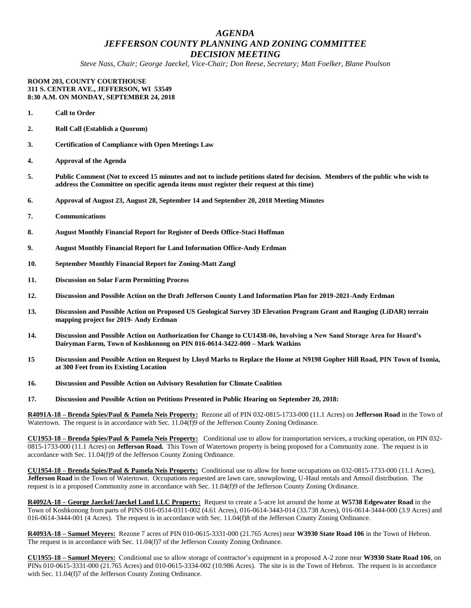## *AGENDA JEFFERSON COUNTY PLANNING AND ZONING COMMITTEE DECISION MEETING*

*Steve Nass, Chair; George Jaeckel, Vice-Chair; Don Reese, Secretary; Matt Foelker, Blane Poulson*

## **ROOM 203, COUNTY COURTHOUSE 311 S. CENTER AVE., JEFFERSON, WI 53549 8:30 A.M. ON MONDAY, SEPTEMBER 24, 2018**

- **1. Call to Order**
- **2. Roll Call (Establish a Quorum)**
- **3. Certification of Compliance with Open Meetings Law**
- **4. Approval of the Agenda**
- **5. Public Comment (Not to exceed 15 minutes and not to include petitions slated for decision. Members of the public who wish to address the Committee on specific agenda items must register their request at this time)**
- **6. Approval of August 23, August 28, September 14 and September 20, 2018 Meeting Minutes**
- **7. Communications**
- **8. August Monthly Financial Report for Register of Deeds Office-Staci Hoffman**
- **9. August Monthly Financial Report for Land Information Office-Andy Erdman**
- **10. September Monthly Financial Report for Zoning-Matt Zangl**
- **11. Discussion on Solar Farm Permitting Process**
- **12. Discussion and Possible Action on the Draft Jefferson County Land Information Plan for 2019-2021-Andy Erdman**
- **13. Discussion and Possible Action on Proposed US Geological Survey 3D Elevation Program Grant and Ranging (LiDAR) terrain mapping project for 2019- Andy Erdman**
- **14. Discussion and Possible Action on Authorization for Change to CU1438-06, Involving a New Sand Storage Area for Hoard's Dairyman Farm, Town of Koshkonong on PIN 016-0614-3422-000 – Mark Watkins**
- **15 Discussion and Possible Action on Request by Lloyd Marks to Replace the Home at N9198 Gopher Hill Road, PIN Town of Ixonia, at 300 Feet from its Existing Location**
- **16. Discussion and Possible Action on Advisory Resolution for Climate Coalition**
- **17. Discussion and Possible Action on Petitions Presented in Public Hearing on September 20, 2018:**

**R4091A-18 – Brenda Spies/Paul & Pamela Neis Property:** Rezone all of PIN 032-0815-1733-000 (11.1 Acres) on **Jefferson Road** in the Town of Watertown. The request is in accordance with Sec. 11.04(f)9 of the Jefferson County Zoning Ordinance.

**CU1953-18 – Brenda Spies/Paul & Pamela Neis Property:** Conditional use to allow for transportation services, a trucking operation, on PIN 032- 0815-1733-000 (11.1 Acres) on **Jefferson Road.** This Town of Watertown property is being proposed for a Community zone. The request is in accordance with Sec. 11.04(f)9 of the Jefferson County Zoning Ordinance.

**CU1954-18 – Brenda Spies/Paul & Pamela Neis Property:** Conditional use to allow for home occupations on 032-0815-1733-000 (11.1 Acres), **Jefferson Road** in the Town of Watertown. Occupations requested are lawn care, snowplowing, U-Haul rentals and Amsoil distribution. The request is in a proposed Community zone in accordance with Sec. 11.04(f)9 of the Jefferson County Zoning Ordinance.

**R4092A-18 – George Jaeckel/Jaeckel Land LLC Property:** Request to create a 5-acre lot around the home at **W5738 Edgewater Road** in the Town of Koshkonong from parts of PINS 016-0514-0311-002 (4.61 Acres), 016-0614-3443-014 (33.738 Acres), 016-0614-3444-000 (3.9 Acres) and 016-0614-3444-001 (4 Acres). The request is in accordance with Sec. 11.04(f)8 of the Jefferson County Zoning Ordinance.

**R4093A-18 – Samuel Meyers:** Rezone 7 acres of PIN 010-0615-3331-000 (21.765 Acres) near **W3930 State Road 106** in the Town of Hebron. The request is in accordance with Sec. 11.04(f)7 of the Jefferson County Zoning Ordinance.

**CU1955-18 – Samuel Meyers:** Conditional use to allow storage of contractor's equipment in a proposed A-2 zone near **W3930 State Road 106**, on PINs 010-0615-3331-000 (21.765 Acres) and 010-0615-3334-002 (10.986 Acres). The site is in the Town of Hebron. The request is in accordance with Sec. 11.04(f)7 of the Jefferson County Zoning Ordinance.